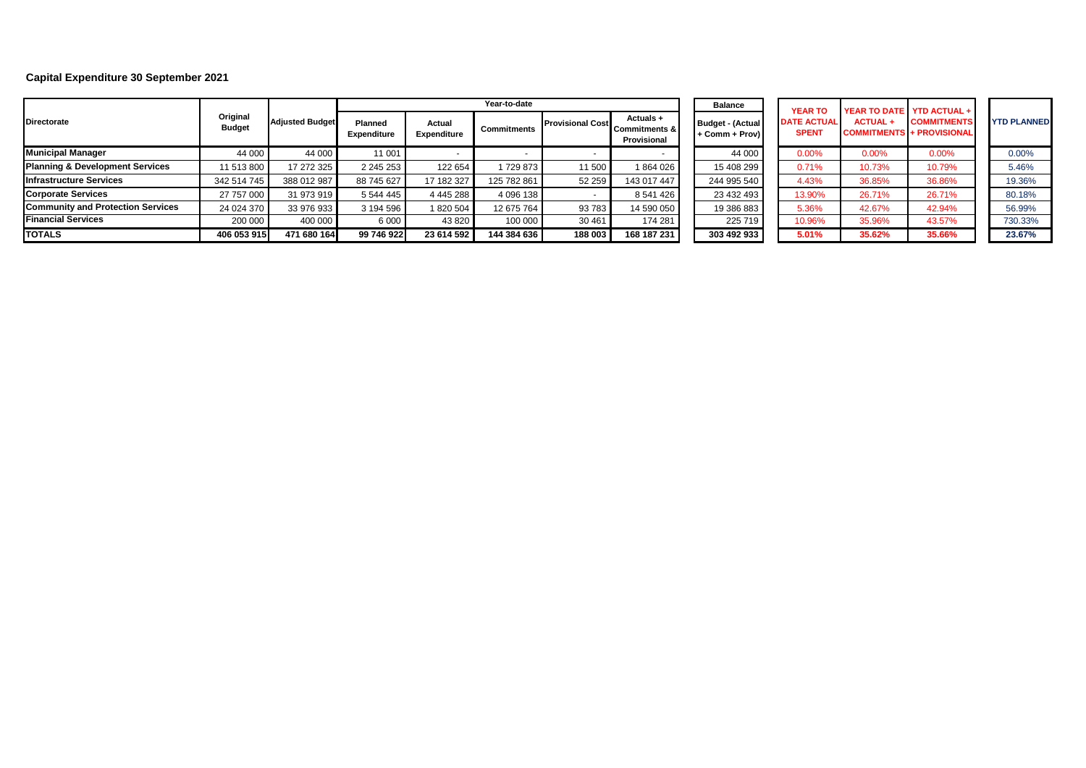## **Capital Expenditure 30 September 2021**

|                                            |                           | <b>Adjusted Budget</b> |                        |                       | Year-to-date       |                         |                                             | <b>Balance</b>                            | <b>YEAR TO</b>                     |               | YEAR TO DATE YTD ACTUAL +                              |                  |
|--------------------------------------------|---------------------------|------------------------|------------------------|-----------------------|--------------------|-------------------------|---------------------------------------------|-------------------------------------------|------------------------------------|---------------|--------------------------------------------------------|------------------|
| <b>Directorate</b>                         | Original<br><b>Budget</b> |                        | Planned<br>Expenditure | Actual<br>Expenditure | <b>Commitments</b> | <b>Provisional Cost</b> | Actuals +<br>Commitments & I<br>Provisional | <b>Budget - (Actual</b><br>+ Comm + Prov) | <b>DATE ACTUAL</b><br><b>SPENT</b> | <b>ACTUAL</b> | <b>COMMITMENTS</b><br><b>COMMITMENTS + PROVISIONAL</b> | <b>YTD PLANN</b> |
| <b>Municipal Manager</b>                   | 44 000                    | 44 000                 | 11 001                 |                       |                    |                         |                                             | 44 000                                    | 0.00%                              | 0.00%         | 0.00%                                                  | 0.00%            |
| <b>Planning &amp; Development Services</b> | 11 513 800                | 17 272 325             | 2 2 4 5 2 5 3          | 122 654               | 729 873            | 11 500                  | 864 026                                     | 15 408 299                                | 0.71%                              | 10.73%        | 10.79%                                                 | 5.46%            |
| <b>Infrastructure Services</b>             | 342 514 745               | 388 012 987            | 88 745 627             | 17 182 327            | 125 782 861        | 52 259                  | 143 017 447                                 | 244 995 540                               | 4.43%                              | 36.85%        | 36.86%                                                 | 19.36%           |
| <b>Corporate Services</b>                  | 27 757 000                | 31 973 919             | 5 544 445              | 4 445 288             | 4 096 138          |                         | 8 541 426                                   | 23 432 493                                | 13.90%                             | 26.71%        | 26.71%                                                 | 80.18%           |
| <b>Community and Protection Services</b>   | 24 024 370                | 33 976 933             | 3 194 596              | 820 504               | 12 675 764         | 93783                   | 14 590 050                                  | 19 386 883                                | 5.36%                              | 42.67%        | 42.94%                                                 | 56.99%           |
| <b>Financial Services</b>                  | 200 000                   | 400 000                | 6 0 0 0                | 43 8 20               | 100 000            | 30 461                  | 174 281                                     | 225 719                                   | 10.96%                             | 35.96%        | 43.57%                                                 | 730.33%          |
| <b>TOTALS</b>                              | 406 053 915               | 471 680 164            | 99 746 922             | 23 614 592            | 144 384 636        | 188 003                 | 168 187 231                                 | 303 492 933                               | 5.01%                              | 35.62%        | 35.66%                                                 | 23.67%           |

| tual<br>'ov) | <b>YEAR TO</b><br><b>DATE ACTUAL</b><br><b>SPENT</b> | <b>ACTUAL+</b> | YEAR TO DATE YTD ACTUAL +<br><b>COMMITMENTS</b><br><b>COMMITMENTS + PROVISIONAL</b> | <b>YTD PLANNED</b> |
|--------------|------------------------------------------------------|----------------|-------------------------------------------------------------------------------------|--------------------|
| 00           | 0.00%                                                | 0.00%          | 0.00%                                                                               | 0.00%              |
| 299          | 0.71%                                                | 10.73%         | 10.79%                                                                              | 5.46%              |
| 540          | 4.43%                                                | 36.85%         | 36.86%                                                                              | 19.36%             |
| 193          | 13.90%                                               | 26.71%         | 26.71%                                                                              | 80.18%             |
| 83           | 5.36%                                                | 42.67%         | 42.94%                                                                              | 56.99%             |
| 19           | 10.96%                                               | 35.96%         | 43.57%                                                                              | 730.33%            |
| 33           | 5.01%                                                | 35.62%         | 35.66%                                                                              | 23.67%             |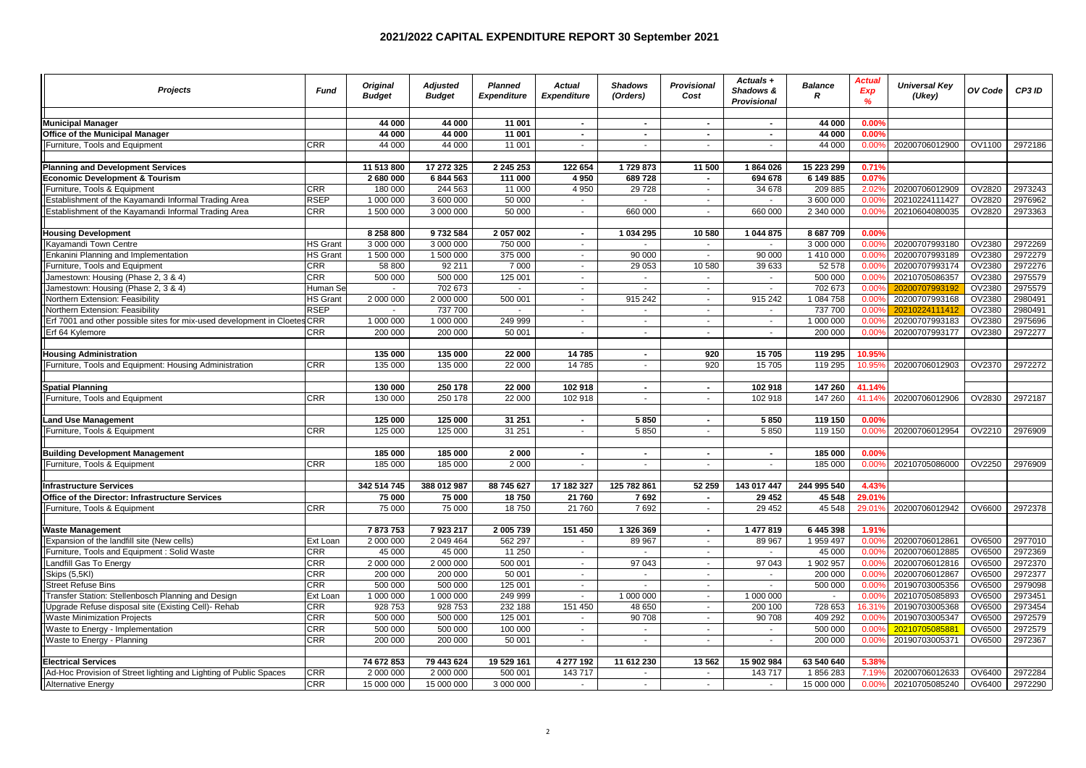| <b>Projects</b>                                                      | <b>Fund</b>     | <b>Original</b><br><b>Budget</b> | <b>Adjusted</b><br><b>Budget</b> | <b>Planned</b><br><b>Expenditure</b> | <b>Actual</b><br><b>Expenditure</b> | <b>Shadows</b><br>(Orders) | <b>Provisional</b><br>Cost | Actuals +<br>Shadows &<br>Provisional | <b>Balance</b><br>R      | Actual<br><b>Exp</b><br>$\frac{9}{6}$ | <b>Universal Key</b><br>(Ukey)   | OV Code          | CP3 ID             |
|----------------------------------------------------------------------|-----------------|----------------------------------|----------------------------------|--------------------------------------|-------------------------------------|----------------------------|----------------------------|---------------------------------------|--------------------------|---------------------------------------|----------------------------------|------------------|--------------------|
|                                                                      |                 |                                  |                                  |                                      |                                     |                            |                            |                                       |                          |                                       |                                  |                  |                    |
| <b>Municipal Manager</b>                                             |                 | 44 000                           | 44 000                           | 11 001                               | $\sim$                              | $\sim$                     | $\sim$                     | $\sim$                                | 44 000                   | 0.00%                                 |                                  |                  |                    |
| <b>Office of the Municipal Manager</b>                               |                 | 44 000                           | 44 000                           | 11 001                               | $\sim$                              | $\blacksquare$             | $\sim$                     | $\sim$                                | 44 000                   | 0.00%                                 |                                  |                  |                    |
| Furniture, Tools and Equipment                                       | <b>CRR</b>      | 44 000                           | 44 000                           | 11 001                               | $\sim$                              | $\sim$                     | $\sim$                     | $\sim$                                | 44 000                   | 0.00%                                 | 20200706012900                   | OV1100           | 2972186            |
|                                                                      |                 |                                  |                                  |                                      |                                     |                            |                            |                                       |                          |                                       |                                  |                  |                    |
| <b>Planning and Development Services</b>                             |                 | 11 513 800                       | 17 272 325                       | 2 245 253                            | 122 654                             | 1729873                    | 11 500                     | 1864026                               | 15 223 299               | 0.71%                                 |                                  |                  |                    |
| <b>Economic Development &amp; Tourism</b>                            |                 | 2 680 000                        | 6 844 563                        | 111 000                              | 4950                                | 689728                     | $\sim$                     | 694 678                               | 6 149 885                | 0.07%                                 |                                  |                  |                    |
| Furniture, Tools & Equipment                                         | <b>CRR</b>      | 180 000                          | 244 563                          | 11 000                               | 4 9 5 0                             | 29728                      | $\sim$                     | 34 678                                | 209 885                  | 2.02%                                 | 20200706012909                   | OV2820           | 2973243            |
| Establishment of the Kayamandi Informal Trading Area                 | <b>RSEP</b>     | 1 000 000                        | 3 600 000                        | 50 000                               | $\sim$                              | $\sim$                     | $\sim$                     | $\sim$                                | 3 600 000                | 0.009                                 | 20210224111427                   | <b>OV2820</b>    | 2976962            |
| Establishment of the Kayamandi Informal Trading Area                 | CRR             | 1 500 000                        | 3 000 000                        | 50 000                               | $\sim$                              | 660 000                    | $\sim$                     | 660 000                               | 2 340 000                | 0.00%                                 | 20210604080035                   | OV2820           | 2973363            |
|                                                                      |                 |                                  |                                  |                                      |                                     |                            |                            |                                       |                          |                                       |                                  |                  |                    |
| <b>Housing Development</b>                                           |                 | 8 258 800                        | 9732584                          | 2 057 002                            | $\sim$                              | 1 034 295                  | 10 580                     | 1 044 875                             | 8 687 709                | 0.00%                                 |                                  |                  |                    |
| Kayamandi Town Centre                                                | <b>HS Grant</b> | 3 000 000                        | 3 000 000                        | 750 000                              | $\sim$                              |                            | $\sim$                     | $\sim$                                | 3 000 000                | 0.00%                                 | 20200707993180                   | OV2380           | 2972269            |
| Enkanini Planning and Implementation                                 | <b>HS Grant</b> | 1 500 000                        | 1 500 000                        | 375 000                              | $\sim$                              | 90 000                     | $\blacksquare$             | 90 000                                | 1 410 000                | 0.00%                                 | 20200707993189                   | OV2380           | 2972279            |
| Furniture, Tools and Equipment                                       | <b>CRR</b>      | 58 800                           | 92 211                           | 7 0 0 0                              | $\sim$                              | 29 053                     | 10 580                     | 39 633                                | 52 578                   | 0.00%                                 | 20200707993174                   | OV2380           | 2972276            |
| Jamestown: Housing (Phase 2, 3 & 4)                                  | CRR             | 500 000                          | 500 000                          | 125 001                              | $\sim$                              | $\sim$                     | $\sim$                     | $\sim$                                | 500 000                  | 0.00%                                 | 20210705086357                   | OV2380           | 2975579            |
| Jamestown: Housing (Phase 2, 3 & 4)                                  | Human Se        |                                  | 702 673                          |                                      | $\sim$                              |                            | $\blacksquare$             |                                       | 702 673                  | 0.00%                                 | 20200707993192                   | OV2380           | 2975579            |
| Northern Extension: Feasibility                                      | <b>HS Grant</b> | 2 000 000                        | 2 000 000                        | 500 001                              | $\sim$                              | 915 242                    | $\sim$                     | 915 242                               | 1 084 758                | 0.00%                                 | 20200707993168                   | OV2380           | 2980491            |
| Northern Extension: Feasibility                                      | RSEP            | $\sim$                           | 737 700                          | $\mathcal{L}$                        | $\sim$                              | $\sim$                     | $\sim$                     | $\sim$                                | 737 700                  | 0.00%                                 | 20210224111412                   | OV2380           | 2980491            |
| Erf 7001 and other possible sites for mix-used development in Cloete | CRR             | 1 000 000                        | 1 000 000                        | 249 999                              | $\mathbf{r}$                        | $\blacksquare$             | $\mathbf{r}$               | $\sim$                                | 1 000 000                | 0.00%                                 | 20200707993183                   | OV2380           | 2975696            |
| Erf 64 Kylemore                                                      | CRR             | 200 000                          | 200 000                          | 50 001                               | $\sim$                              | $\sim$                     | $\blacksquare$             | $\sim$                                | 200 000                  | 0.00%                                 | 20200707993177                   | OV2380           | 2972277            |
|                                                                      |                 |                                  |                                  |                                      |                                     |                            |                            |                                       |                          |                                       |                                  |                  |                    |
| <b>Housing Administration</b>                                        |                 | 135 000                          | 135 000                          | 22 000                               | 14785                               | $\blacksquare$             | 920                        | 15705                                 | 119 295                  | 10.95%                                |                                  |                  |                    |
| Furniture, Tools and Equipment: Housing Administration               | CRR             | 135 000                          | 135 000                          | 22 000                               | 14785                               | $\sim$                     | 920                        | 15 705                                | 119 295                  | 10.95                                 | 20200706012903                   | OV2370           | 2972272            |
|                                                                      |                 |                                  |                                  |                                      |                                     |                            |                            |                                       |                          |                                       |                                  |                  |                    |
| <b>Spatial Planning</b>                                              |                 | 130 000                          | 250 178                          | 22 000                               | 102 918                             | $\blacksquare$             | $\sim$                     | 102 918                               | 147 260                  | 41.14%                                |                                  |                  |                    |
| Furniture, Tools and Equipment                                       | <b>CRR</b>      | 130 000                          | 250 178                          | 22 000                               | 102 918                             | $\sim$                     | $\sim$                     | 102 918                               | 147 260                  | 41.14%                                | 20200706012906                   | OV2830           | 2972187            |
|                                                                      |                 |                                  |                                  |                                      |                                     |                            |                            |                                       |                          |                                       |                                  |                  |                    |
| <b>Land Use Management</b>                                           |                 | 125 000                          | 125 000                          | 31 251                               | $\sim$                              | 5850                       | $\sim$                     | 5850                                  | 119 150                  | 0.00%                                 |                                  |                  |                    |
| Furniture, Tools & Equipment                                         | CRR             | 125 000                          | 125 000                          | 31 251                               | $\sim$                              | 5850                       | $\sim$                     | 5850                                  | 119 150                  | 0.00%                                 | 20200706012954                   | OV2210           | 2976909            |
|                                                                      |                 |                                  |                                  |                                      |                                     |                            |                            |                                       |                          |                                       |                                  |                  |                    |
| <b>Building Development Management</b>                               |                 | 185 000                          | 185 000                          | 2000                                 | $\sim$                              | $\sim$                     | $\sim$                     | $\sim$                                | 185 000                  | 0.00                                  |                                  |                  |                    |
| Furniture, Tools & Equipment                                         | <b>CRR</b>      | 185 000                          | 185 000                          | 2 0 0 0                              | $\sim$                              | $\blacksquare$             | $\blacksquare$             | $\sim$                                | 185 000                  | 0.00%                                 | 20210705086000                   | OV2250           | 2976909            |
|                                                                      |                 |                                  |                                  |                                      |                                     |                            |                            |                                       |                          |                                       |                                  |                  |                    |
| <b>Infrastructure Services</b>                                       |                 | 342 514 745                      | 388 012 987                      | 88 745 627                           | 17 182 327                          | 125 782 861                | 52 259                     | 143 017 447                           | 244 995 540              | 4.43%                                 |                                  |                  |                    |
| Office of the Director: Infrastructure Services                      |                 | 75 000                           | 75 000                           | 18750                                | 21 760                              | 7692                       | $\sim$                     | 29 452                                | 45 548                   | 29.01%                                |                                  |                  |                    |
| Furniture, Tools & Equipment                                         | CRR             | 75 000                           | 75 000                           | 18750                                | 21 760                              | 7692                       | $\sim$                     | 29 452                                | 45 548                   | 29.01%                                | 20200706012942                   | OV6600           | 2972378            |
|                                                                      |                 |                                  |                                  |                                      |                                     |                            |                            |                                       |                          |                                       |                                  |                  |                    |
| <b>Waste Management</b>                                              |                 | 7873753                          | 7 923 217                        | 2 005 739                            | 151 450                             | 1 326 369                  | $\sim$                     | 1 477 819                             | 6 445 398                | 1.91%                                 |                                  | OV6500           | 2977010            |
| Expansion of the landfill site (New cells)                           | Ext Loan        | 2 000 000                        | 2 049 464                        | 562 297                              | $\sim$<br>$\sim$                    | 89 967                     | $\sim$<br>$\sim$           | 89 967                                | 1 959 497                | 0.00%                                 | 20200706012861                   |                  |                    |
| Furniture, Tools and Equipment: Solid Waste                          | CRR<br>CRR      | 45 000                           | 45 000                           | 11 250                               |                                     |                            |                            |                                       | 45 000                   | 0.00%                                 | 20200706012885                   | OV6500           | 2972369            |
| Landfill Gas To Energy<br>Skips (5,5KI)                              | <b>CRR</b>      | 2 000 000<br>200 000             | 2 000 000<br>200 000             | 500 001<br>50 001                    | $\sim$<br>$\sim$                    | 97 043                     | $\sim$<br>$\sim$           | 97 043                                | 1 902 957<br>200 000     | 0.00%<br>0.009                        | 20200706012816<br>20200706012867 | OV6500<br>OV6500 | 2972370<br>2972377 |
| <b>Street Refuse Bins</b>                                            | CRR             | 500 000                          | 500 000                          | 125 001                              | $\sim$                              | $\sim$                     | $\sim$                     | $\sim$<br>÷.                          | 500 000                  | 0.00%                                 | 20190703005356                   | OV6500           | 2979098            |
| Transfer Station: Stellenbosch Planning and Design                   | Ext Loan        | 1 000 000                        | 1 000 000                        | 249 999                              | $\sim$                              | 1 000 000                  | $\sim$                     | 1 000 000                             | $\overline{\phantom{a}}$ | 0.00%                                 | 20210705085893                   | OV6500           | 2973451            |
| Upgrade Refuse disposal site (Existing Cell)- Rehab                  | CRR             | 928 753                          | 928 753                          | 232 188                              | 151 450                             | 48 650                     | $\sim$                     | 200 100                               | 728 653                  | 16.31%                                | 20190703005368                   | OV6500           | 2973454            |
| <b>Waste Minimization Projects</b>                                   | CRR             | 500 000                          | 500 000                          | 125 001                              | $\sim$                              | 90 708                     | $\sim$                     | 90 708                                | 409 292                  | 0.00%                                 | 20190703005347                   | OV6500           | 2972579            |
| Waste to Energy - Implementation                                     | CRR             | 500 000                          | 500 000                          | 100 000                              | $\sim$                              | $\sim$                     | $\sim$                     | $\sim$                                | 500 000                  | 0.00%                                 | 20210705085881                   | OV6500           | 2972579            |
| Waste to Energy - Planning                                           | CRR             | 200 000                          | 200 000                          | 50 001                               | $\sim$                              | $\sim$                     | $\sim$                     | $\sim$                                | 200 000                  | 0.00%                                 | 20190703005371                   | OV6500           | 2972367            |
|                                                                      |                 |                                  |                                  |                                      |                                     |                            |                            |                                       |                          |                                       |                                  |                  |                    |
| <b>Electrical Services</b>                                           |                 | 74 672 853                       | 79 443 624                       | 19 529 161                           | 4 277 192                           | 11 612 230                 | 13 562                     | 15 902 984                            | 63 540 640               | 5.38%                                 |                                  |                  |                    |
| Ad-Hoc Provision of Street lighting and Lighting of Public Spaces    | CRR             | 2 000 000                        | 2 000 000                        | 500 001                              | 143717                              | $\sim$                     | $\sim$                     | 143717                                | 1856283                  | 7.19%                                 | 20200706012633                   | OV6400           | 2972284            |
| Alternative Energy                                                   | CRR             | 15 000 000                       | 15 000 000                       | 3 000 000                            | $\sim$                              | $\sim$                     | $\sim$                     | $\sim$                                | 15 000 000               | 0.00%                                 | 20210705085240                   | OV6400           | 2972290            |
|                                                                      |                 |                                  |                                  |                                      |                                     |                            |                            |                                       |                          |                                       |                                  |                  |                    |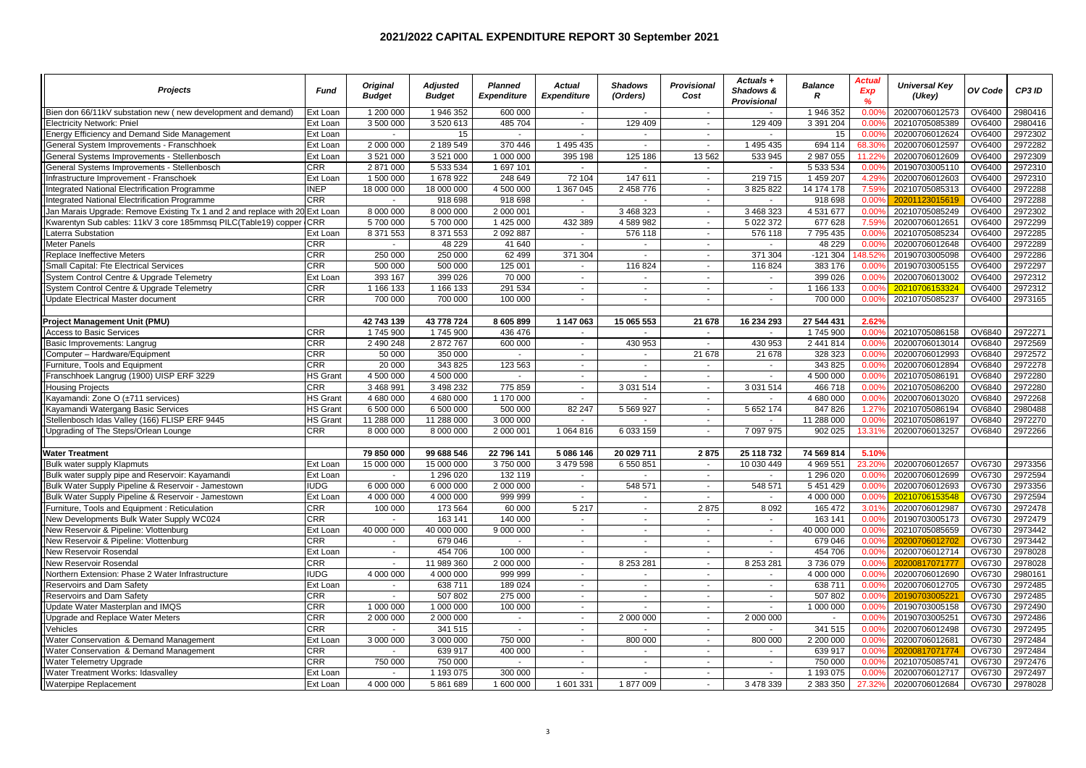| <b>Projects</b>                                                             | <b>Fund</b>     | <b>Original</b><br><b>Budget</b> | <b>Adiusted</b><br><b>Budget</b> | <b>Planned</b><br><b>Expenditure</b> | Actual<br><b>Expenditure</b> | Shadows<br>(Orders)      | <b>Provisional</b><br>Cost | Actuals +<br>Shadows &<br><b>Provisional</b> | <b>Balance</b><br>R | Actual<br>Exp<br>$\frac{9}{6}$ | <b>Universal Kev</b><br>(Ukey) | OV Code       | CP3 ID  |
|-----------------------------------------------------------------------------|-----------------|----------------------------------|----------------------------------|--------------------------------------|------------------------------|--------------------------|----------------------------|----------------------------------------------|---------------------|--------------------------------|--------------------------------|---------------|---------|
| Bien don 66/11kV substation new (new development and demand)                | Ext Loan        | 1 200 000                        | 1 946 352                        | 600 000                              | $\sim$                       | $\blacksquare$           | $\sim$                     | $\sim$                                       | 1 946 352           | $0.00^{\circ}$                 | 20200706012573                 | OV6400        | 2980416 |
| Electricity Network: Pniel                                                  | Ext Loan        | 3 500 000                        | 3 520 613                        | 485 704                              | $\sim$                       | 129 409                  | $\sim$                     | 129 409                                      | 3 391 204           | $0.00^{\circ}$                 | 20210705085389                 | OV6400        | 2980416 |
| Energy Efficiency and Demand Side Management                                | Ext Loan        |                                  | 15                               | $\mathbf{r}$                         | i.                           |                          | $\mathbf{r}$               | in 19                                        | 15                  | 0.00%                          | 20200706012624                 | OV6400        | 2972302 |
| General System Improvements - Franschhoek                                   | Ext Loan        | 2 000 000                        | 2 189 549                        | 370 446                              | 1 495 435                    | $\mathcal{L}$            | $\sim$                     | 1 495 435                                    | 694 114             | 68.309                         | 20200706012597                 | OV6400        | 2972282 |
| General Systems Improvements - Stellenbosch                                 | Ext Loan        | 3 521 000                        | 3 521 000                        | 1 000 000                            | 395 198                      | 125 186                  | 13 5 62                    | 533 945                                      | 2 987 055           | 11.229                         | 20200706012609                 | OV6400        | 2972309 |
| General Systems Improvements - Stellenbosch                                 | <b>CRR</b>      | 2 871 000                        | 5 533 534                        | 1 697 101                            | $\sim$                       | ÷.                       | $\sim$                     | $\sim$                                       | 5 533 534           | 0.00%                          | 20190703005110                 | OV6400        | 2972310 |
| Infrastructure Improvement - Franschoek                                     | Ext Loan        | 1 500 000                        | 1 678 922                        | 248 649                              | 72 104                       | 147 611                  | $\sim$                     | 219 715                                      | 1 459 207           | 4.29%                          | 20200706012603                 | OV6400        | 2972310 |
| Integrated National Electrification Programme                               | <b>INEP</b>     | 18 000 000                       | 18 000 000                       | 4 500 000                            | 1 367 045                    | 2 458 776                | $\sim$                     | 3 825 822                                    | 14 174 178          | 7.59%                          | 20210705085313                 | OV6400        | 2972288 |
| Integrated National Electrification Programme                               | <b>CRR</b>      | $\mathbf{r}$                     | 918 698                          | 918 698                              | $\sim$                       | $\mathbf{r}$             | $\mathbf{r}$               | $\sim$                                       | 918 698             | 0.00%                          | 20201123015619                 | OV6400        | 2972288 |
| Jan Marais Upgrade: Remove Existing Tx 1 and 2 and replace with 20 Ext Loan |                 | 8 000 000                        | 8 000 000                        | 2 000 001                            | $\sim$                       | 3 468 323                | $\sim$                     | 3 468 323                                    | 4 5 31 6 77         | 0.00%                          | 20210705085249                 | OV6400        | 2972302 |
| Kwarentyn Sub cables: 11kV 3 core 185mmsq PILC(Table19) copper              | <b>CRR</b>      | 5700000                          | 5700000                          | 1 425 000                            | 432 389                      | 4 589 982                | $\sim$                     | 5 022 372                                    | 677 628             | 7.59%                          | 20200706012651                 | OV6400        | 2972299 |
| Laterra Substation                                                          | Ext Loan        | 8 371 553                        | 8 371 553                        | 2 092 887                            | $\sim$                       | 576 118                  | $\sim$                     | 576 118                                      | 7795435             | 0.00%                          | 20210705085234                 | OV6400        | 2972285 |
| Meter Panels                                                                | <b>CRR</b>      | $\sim$                           | 48 229                           | 41 640                               | $\sim$                       | $\overline{\phantom{a}}$ | $\sim$                     | $\sim$                                       | 48 229              | 0.00%                          | 20200706012648                 | OV6400        | 2972289 |
| Replace Ineffective Meters                                                  | <b>CRR</b>      | 250 000                          | 250 000                          | 62 499                               | 371 304                      |                          | $\sim$                     | 371 304                                      | $-121304$           | 48.52%                         | 20190703005098                 | OV6400        | 2972286 |
| Small Capital: Fte Electrical Services                                      | <b>CRR</b>      | 500 000                          | 500 000                          | 125 001                              | $\mathbf{r}$                 | 116824                   | $\sim$                     | 116 824                                      | 383 176             | 0.00%                          | 20190703005155                 | OV6400        | 2972297 |
| System Control Centre & Upgrade Telemetry                                   | Ext Loan        | 393 167                          | 399 026                          | 70 000                               | $\sim$                       | $\sim$                   | $\sim$                     | $\sim$                                       | 399 026             | 0.00%                          | 20200706013002                 | OV6400        | 2972312 |
| System Control Centre & Upgrade Telemetry                                   | <b>CRR</b>      | 1 166 133                        | 1 166 133                        | 291 534                              | $\sim$                       | $\sim$                   | $\sim$                     | $\sim$                                       | 1 166 133           | $0.00^{o}$                     | 20210706153324                 | OV6400        | 2972312 |
| <b>Update Electrical Master document</b>                                    | <b>CRR</b>      | 700 000                          | 700 000                          | 100 000                              | $\sim$                       | ÷.                       | ÷.                         | $\sim$                                       | 700 000             | 0.00%                          | 20210705085237                 | OV6400        | 2973165 |
|                                                                             |                 |                                  |                                  |                                      |                              |                          |                            |                                              |                     |                                |                                |               |         |
| <b>Project Management Unit (PMU)</b>                                        |                 | 42 743 139                       | 43 778 724                       | 8 605 899                            | 1 147 063                    | 15 065 553               | 21 678                     | 16 234 293                                   | 27 544 431          | 2.62%                          |                                |               |         |
| <b>Access to Basic Services</b>                                             | <b>CRR</b>      | 1745 900                         | 1745 900                         | 436 476                              | $\sim$                       |                          | ÷,                         | $\sim$                                       | 1745 900            | 0.00%                          | 20210705086158                 | OV6840        | 2972271 |
| Basic Improvements: Langrug                                                 | <b>CRR</b>      | 2 490 248                        | 2872767                          | 600 000                              | $\sim$                       | 430 953                  | $\sim$                     | 430 953                                      | 2 441 814           | 0.009                          | 20200706013014                 | OV6840        | 2972569 |
| Computer - Hardware/Equipment                                               | <b>CRR</b>      | 50 000                           | 350 000                          | $\mathbf{r}$                         | $\sim$                       | $\blacksquare$           | 21 678                     | 21 678                                       | 328 323             | 0.00%                          | 20200706012993                 | OV6840        | 2972572 |
| Furniture, Tools and Equipment                                              | CRR             | 20 000                           | 343 825                          | 123 563                              | $\sim$                       | $\mathbf{r}$             | ÷.                         | $\sim$                                       | 343 825             | 0.00%                          | 20200706012894                 | OV6840        | 2972278 |
| Franschhoek Langrug (1900) UISP ERF 3229                                    | <b>HS Grant</b> | 4 500 000                        | 4 500 000                        | $\sim$                               | $\sim$                       | $\sim$                   | $\sim$                     | $\sim$                                       | 4 500 000           | 0.00%                          | 20210705086191                 | OV6840        | 2972280 |
| <b>Housing Projects</b>                                                     | <b>CRR</b>      | 3 468 991                        | 3 498 232                        | 775 859                              | $\sim$                       | 3 0 3 1 5 1 4            | $\sim$                     | 3 0 31 5 14                                  | 466 718             | 0.00%                          | 20210705086200                 | OV6840        | 2972280 |
| Kayamandi: Zone O (±711 services)                                           | HS Grant        | 4 680 000                        | 4 680 000                        | 1 170 000                            | $\sim$                       |                          | $\sim$                     |                                              | 4 680 000           | 0.00%                          | 20200706013020                 | OV6840        | 2972268 |
| Kayamandi Watergang Basic Services                                          | HS Grant        | 6 500 000                        | 6 500 000                        | 500 000                              | 82 247                       | 5 5 6 9 9 2 7            | $\sim$                     | 5 652 174                                    | 847 826             | 1.27%                          | 20210705086194                 | OV6840        | 2980488 |
| Stellenbosch Idas Valley (166) FLISP ERF 9445                               | <b>HS Grant</b> | 11 288 000                       | 11 288 000                       | 3 000 000                            | $\sim$                       | $\sim$                   | $\sim$                     |                                              | 11 288 000          | $0.00$ <sup>c</sup>            | 20210705086197                 | OV6840        | 2972270 |
| Upgrading of The Steps/Orlean Lounge                                        | <b>CRR</b>      | 8 000 000                        | 8 000 000                        | 2 000 001                            | 1 064 816                    | 6 033 159                | $\mathbf{r}$               | 7 097 975                                    | 902 025             | 13.319                         | 20200706013257                 | OV6840        | 2972266 |
| <b>Water Treatment</b>                                                      |                 | 79 850 000                       | 99 688 546                       | 22 796 141                           | 5 086 146                    | 20 029 711               | 2875                       | 25 118 732                                   | 74 569 814          | 5.10%                          |                                |               |         |
| <b>Bulk water supply Klapmuts</b>                                           | Ext Loan        | 15 000 000                       | 15 000 000                       | 3750000                              | 3 479 598                    | 6 550 851                | $\sim$                     | 10 030 449                                   | 4 969 551           | 23.209                         | 20200706012657                 | OV6730        | 2973356 |
| Bulk water supply pipe and Reservoir: Kayamandi                             | Ext Loan        | $\sim$                           | 1 296 0 20                       | 132 119                              | $\sim$                       | $\sim$                   | $\sim$                     | $\sim$                                       | 1 296 0 20          | 0.00%                          | 20200706012699                 | OV6730        | 2972594 |
| Bulk Water Supply Pipeline & Reservoir - Jamestown                          | <b>IUDG</b>     | 6 000 000                        | 6 000 000                        | 2 000 000                            | $\sim$                       | 548 571                  | $\sim$                     | 548 571                                      | 5 4 5 1 4 2 9       | 0.00%                          | 20200706012693                 | OV6730        | 2973356 |
| Bulk Water Supply Pipeline & Reservoir - Jamestown                          | Ext Loan        | 4 000 000                        | 4 000 000                        | 999 999                              | $\sim$                       | $\sim$                   | ÷.                         | $\sim$                                       | 4 000 000           | 0.00%                          | 20210706153548                 | OV6730        | 2972594 |
| Furniture, Tools and Equipment : Reticulation                               | <b>CRR</b>      | 100 000                          | 173 564                          | 60 000                               | 5 2 1 7                      | $\sim$                   | 2875                       | 8 0 9 2                                      | 165 472             | 3.01%                          | 20200706012987                 | OV6730        | 2972478 |
| New Developments Bulk Water Supply WC024                                    | <b>CRR</b>      | $\sim$                           | 163 141                          | 140 000                              | $\sim$                       | $\blacksquare$           | $\sim$                     | $\sim$                                       | 163 141             | 0.00%                          | 20190703005173                 | OV6730        | 2972479 |
| New Reservoir & Pipeline: Vlottenburg                                       | Ext Loan        | 40 000 000                       | 40 000 000                       | 9 000 000                            | $\sim$                       | $\sim$                   | $\sim$                     | $\sim$                                       | 40 000 000          | 0.009                          | 20210705085659                 | OV6730        | 2973442 |
| New Reservoir & Pipeline: Vlottenburg                                       | <b>CRR</b>      | $\sim$                           | 679 046                          | $\blacksquare$                       | $\sim$                       | $\blacksquare$           | $\sim$                     | $\sim$                                       | 679 046             | 0.00%                          | 20200706012702                 | OV6730        | 2973442 |
| New Reservoir Rosendal                                                      | Ext Loan        | $\sim$                           | 454 706                          | 100 000                              | $\sim$                       |                          | $\sim$                     |                                              | 454 706             | 0.009                          | 20200706012714                 | OV6730        | 2978028 |
| New Reservoir Rosendal                                                      | <b>CRR</b>      | $\sim$                           | 11 989 360                       | 2 000 000                            | $\sim$                       | 8 253 281                | $\mathbf{r}$               | 8 253 281                                    | 3736079             | 0.00%                          | 20200817071777                 | OV6730        | 2978028 |
| Northern Extension: Phase 2 Water Infrastructure                            | <b>IUDG</b>     | 4 000 000                        | 4 000 000                        | 999 999                              | $\sim$                       | $\sim$                   | $\sim$                     | $\sim$                                       | 4 000 000           | 0.00%                          | 20200706012690                 | OV6730        | 2980161 |
| Reservoirs and Dam Safety                                                   | Ext Loan        | $\sim$                           | 638 711                          | 189 024                              | $\sim$                       | $\sim$                   | $\sim$                     | $\sim$                                       | 638 711             | 0.009                          | 20200706012705                 | OV6730        | 2972485 |
| Reservoirs and Dam Safety                                                   | <b>CRR</b>      | $\sim$                           | 507 802                          | 275 000                              | $\sim$                       | $\sim$                   | $\mathbf{r}$               | $\sim$                                       | 507 802             | 0.00%                          | 20190703005221                 | OV6730        | 2972485 |
| Update Water Masterplan and IMQS                                            | <b>CRR</b>      | 1 000 000                        | 1 000 000                        | 100 000                              | $\sim$                       | $\sim$                   | $\sim$                     | $\sim$                                       | 1 000 000           | 0.00%                          | 20190703005158                 | OV6730        | 2972490 |
| Upgrade and Replace Water Meters                                            | <b>CRR</b>      | 2 000 000                        | 2 000 000                        | $\blacksquare$                       | $\sim$                       | 2 000 000                | $\sim$                     | 2 000 000                                    | $\sim$              | 0.00%                          | 20190703005251                 | <b>OV6730</b> | 2972486 |
| Vehicles                                                                    | <b>CRR</b>      | $\overline{a}$                   | 341 515                          | $\mathcal{L}$                        | $\sim$                       |                          | ÷.                         |                                              | 341 515             | 0.00%                          | 20200706012498                 | OV6730        | 2972495 |
| Water Conservation & Demand Management                                      | Ext Loan        | 3 000 000                        | 3 000 000                        | 750 000                              | $\sim$                       | 800 000                  | $\sim$                     | 800 000                                      | 2 200 000           | 0.00%                          | 20200706012681                 | OV6730        | 2972484 |
| Water Conservation & Demand Management                                      | <b>CRR</b>      | $\mathbf{r}$                     | 639 917                          | 400 000                              | $\sim$                       | $\overline{\phantom{a}}$ | $\sim$                     | $\sim$                                       | 639 917             | 0.00%                          | 20200817071774                 | OV6730        | 2972484 |
| Water Telemetry Upgrade                                                     | <b>CRR</b>      | 750 000                          | 750 000                          | ÷,                                   | $\sim$                       | $\mathbf{r}$             | $\mathcal{L}$              | $\sim$                                       | 750 000             | 0.00%                          | 20210705085741                 | OV6730        | 2972476 |
| Water Treatment Works: Idasvalley                                           | Ext Loan        | $\sim$                           | 1 193 075                        | 300 000                              | $\sim$                       | $\sim$                   | $\sim$                     | $\sim$                                       | 1 193 075           | 0.00%                          | 20200706012717                 | OV6730        | 2972497 |
| <b>Waterpipe Replacement</b>                                                | Ext Loan        | 4 000 000                        | 5 861 689                        | 1 600 000                            | 1601331                      | 1877009                  | $\mathbf{r}$               | 3 478 339                                    | 2 383 350           | 27.329                         | 20200706012684                 | OV6730        | 2978028 |
|                                                                             |                 |                                  |                                  |                                      |                              |                          |                            |                                              |                     |                                |                                |               |         |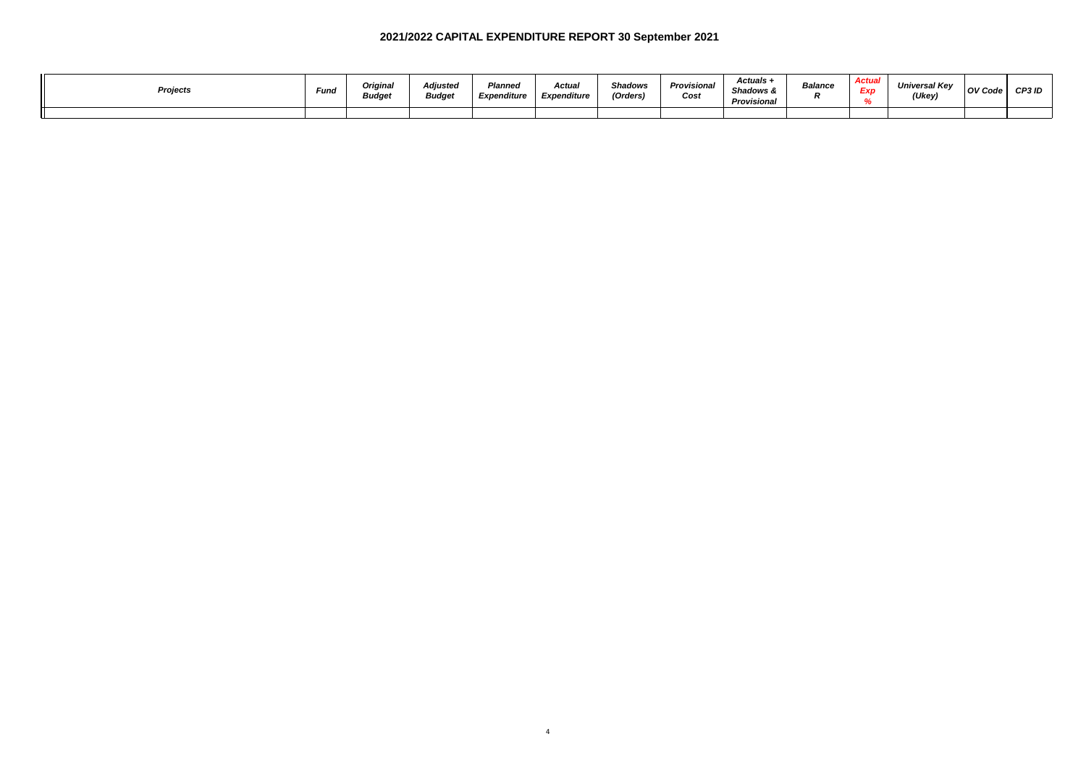| Projects | Fund | Original<br><b>Budget</b> | Adjusted<br>Budget | Planned<br>Expenditure | <b>Actual</b><br>Expenditure | <b>Shadows</b><br>(Orders) | Provisional<br>Cost | Actuals +<br><b>Shadows &amp;</b><br>Provisional | Balance | Arftia<br><b>Artist</b><br>Exp | <b>Universal Kev</b><br>(Ukey) | OV Code | CP3 ID |
|----------|------|---------------------------|--------------------|------------------------|------------------------------|----------------------------|---------------------|--------------------------------------------------|---------|--------------------------------|--------------------------------|---------|--------|
|          |      |                           |                    |                        |                              |                            |                     |                                                  |         |                                |                                |         |        |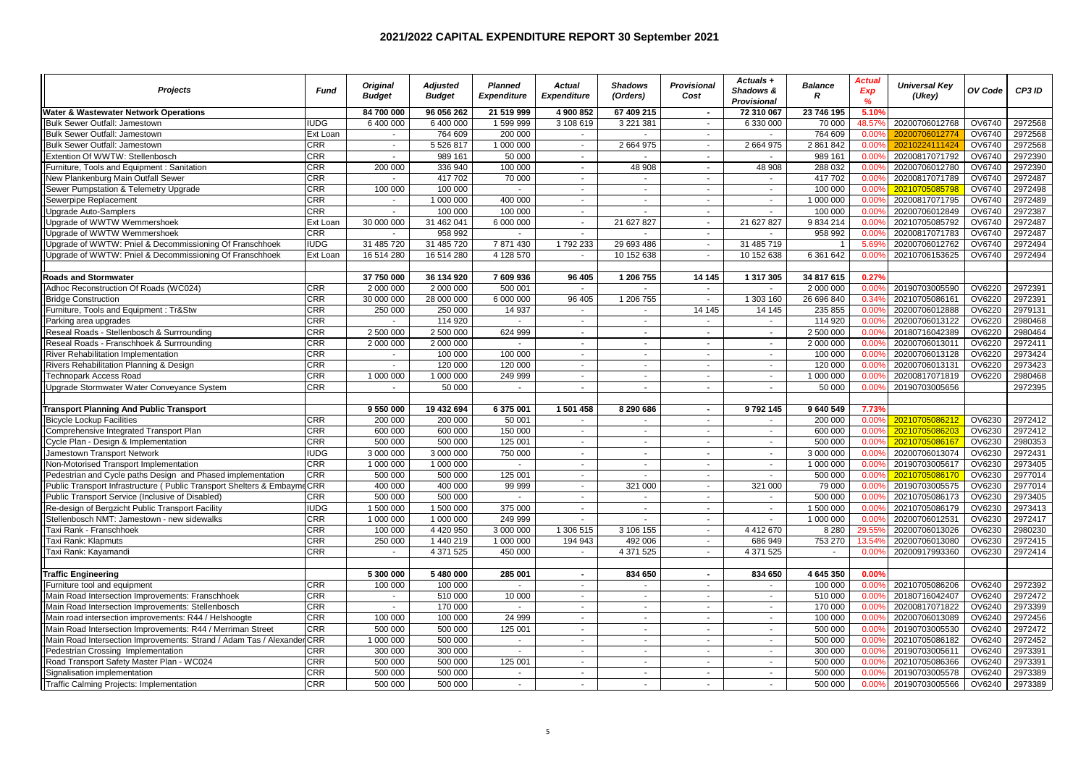| <b>Projects</b>                                                        | Fund        | <b>Original</b><br><b>Budget</b> | <b>Adiusted</b><br><b>Budget</b> | <b>Planned</b><br><b>Expenditure</b> | <b>Actual</b><br><b>Expenditure</b> | <b>Shadows</b><br>(Orders)  | <b>Provisional</b><br>Cost | Actuals +<br>Shadows &<br>Provisional | <b>Balance</b><br>$\mathbb{R}$ | Actual<br>Exp<br>$\frac{9}{6}$ | <b>Universal Key</b><br>(Ukey) | OV Code       | CP3 ID  |
|------------------------------------------------------------------------|-------------|----------------------------------|----------------------------------|--------------------------------------|-------------------------------------|-----------------------------|----------------------------|---------------------------------------|--------------------------------|--------------------------------|--------------------------------|---------------|---------|
| <b>Water &amp; Wastewater Network Operations</b>                       |             | 84 700 000                       | 96 056 262                       | 21 519 999                           | 4 900 852                           | 67 409 215                  | $\sim$                     | 72 310 067                            | 23 746 195                     | 5.10%                          |                                |               |         |
| Bulk Sewer Outfall: Jamestown                                          | <b>IUDG</b> | 6 400 000                        | 6 400 000                        | 1 599 999                            | 3 108 619                           | 3 2 2 1 3 8 1               | $\sim$                     | 6 330 000                             | 70 000                         | 48.57%                         | 20200706012768                 | <b>OV6740</b> | 2972568 |
| Bulk Sewer Outfall: Jamestown                                          | Ext Loan    |                                  | 764 609                          | 200 000                              | $\sim$                              |                             | $\sim$                     |                                       | 764 609                        | 0.00%                          | 20200706012774                 | OV6740        | 2972568 |
| Bulk Sewer Outfall: Jamestown                                          | CRR         | $\sim$                           | 5 526 817                        | 1 000 000                            | $\sim$                              | 2 664 975                   | $\sim$                     | 2 664 975                             | 2 861 842                      | 0.00%                          | 20210224111424                 | OV6740        | 2972568 |
| Extention Of WWTW: Stellenbosch                                        | <b>CRR</b>  | $\sim$                           | 989 161                          | 50 000                               | $\sim$                              |                             | $\sim$                     |                                       | 989 161                        | 0.009                          | 20200817071792                 | OV6740        | 2972390 |
| Furniture, Tools and Equipment : Sanitation                            | <b>CRR</b>  | 200 000                          | 336 940                          | 100 000                              | $\sim$                              | 48 908                      | $\sim$                     | 48 908                                | 288 032                        | 0.00%                          | 20200706012780                 | OV6740        | 2972390 |
| New Plankenburg Main Outfall Sewer                                     | <b>CRR</b>  | $\blacksquare$                   | 417 702                          | 70 000                               | $\sim$                              | $\sim$                      | $\sim$                     | $\sim$                                | 417 702                        | 0.00%                          | 20200817071789                 | OV6740        | 2972487 |
| Sewer Pumpstation & Telemetry Upgrade                                  | CRR         | 100 000                          | 100 000                          | $\blacksquare$                       | $\sim$                              | $\sim$                      | $\sim$                     | $\sim$                                | 100 000                        | 0.00%                          | 20210705085798                 | OV6740        | 2972498 |
| Sewerpipe Replacement                                                  | <b>CRR</b>  | ÷.                               | 1 000 000                        | 400 000                              | $\sim$                              | ÷.                          | $\sim$                     | $\sim$                                | 1 000 000                      | 0.00%                          | 20200817071795                 | OV6740        | 2972489 |
| Upgrade Auto-Samplers                                                  | CRR         | $\sim$                           | 100 000                          | 100 000                              | $\sim$                              | $\sim$                      | $\sim$                     | $\sim$                                | 100 000                        | 0.00%                          | 20200706012849                 | OV6740        | 2972387 |
| Upgrade of WWTW Wemmershoek                                            | Ext Loan    | 30 000 000                       | 31 462 041                       | 6 000 000                            | $\sim$                              | 21 627 827                  | $\sim$                     | 21 627 827                            | 9 8 3 4 2 1 4                  | 0.00%                          | 20210705085792                 | OV6740        | 2972487 |
| Upgrade of WWTW Wemmershoek                                            | <b>CRR</b>  |                                  | 958 992                          | ÷                                    | $\sim$                              |                             | $\sim$                     |                                       | 958 992                        | 0.009                          | 20200817071783                 | OV6740        | 2972487 |
| Upgrade of WWTW: Pniel & Decommissioning Of Franschhoek                | <b>IUDG</b> | 31 485 720                       | 31 485 720                       | 7 871 430                            | 1792233                             | 29 693 486                  | $\sim$                     | 31 485 719                            | $\mathbf 1$                    | 5.69%                          | 20200706012762                 | OV6740        | 2972494 |
| Upgrade of WWTW: Pniel & Decommissioning Of Franschhoek                | Ext Loan    | 16 514 280                       | 16 514 280                       | 4 128 570                            | $\sim$                              | 10 152 638                  | $\overline{\phantom{a}}$   | 10 152 638                            | 6 361 642                      | 0.00%                          | 20210706153625                 | OV6740        | 2972494 |
|                                                                        |             |                                  |                                  |                                      |                                     |                             |                            |                                       |                                |                                |                                |               |         |
| <b>Roads and Stormwater</b>                                            |             | 37 750 000                       | 36 134 920                       | 7 609 936                            | 96 405                              | 1 206 755                   | 14 145                     | 1 317 305                             | 34 817 615                     | 0.27%                          |                                |               |         |
| Adhoc Reconstruction Of Roads (WC024)                                  | <b>CRR</b>  | 2 000 000                        | 2 000 000                        | 500 001                              |                                     |                             | $\sim$                     |                                       | 2 000 000                      | 0.009                          | 20190703005590                 | <b>OV6220</b> | 2972391 |
| <b>Bridge Construction</b>                                             | CRR         | 30 000 000                       | 28 000 000                       | 6 000 000                            | 96 405                              | 1 206 755                   | $\sim$                     | 1 303 160                             | 26 696 840                     | 0.34%                          | 20210705086161                 | OV6220        | 2972391 |
| Furniture, Tools and Equipment : Tr&Stw                                | <b>CRR</b>  | 250 000                          | 250 000                          | 14 9 37                              | $\sim$                              | $\sim$                      | 14 14 5                    | 14 145                                | 235 855                        | 0.00%                          | 20200706012888                 | OV6220        | 2979131 |
| Parking area upgrades                                                  | CRR         | $\sim$                           | 114 920                          | $\sim$                               | $\sim$                              | $\sim$                      | $\sim$                     | $\sim$                                | 114 920                        | 0.009                          | 20200706013122                 | OV6220        | 2980468 |
| Reseal Roads - Stellenbosch & Surrrounding                             | <b>CRR</b>  | 2 500 000                        | 2 500 000                        | 624 999                              | $\sim$                              | ÷.                          | $\sim$                     | $\sim$                                | 2 500 000                      | 0.00%                          | 20180716042389                 | OV6220        | 2980464 |
| Reseal Roads - Franschhoek & Surrrounding                              | CRR         | 2 000 000                        | 2 000 000                        | $\sim$                               | $\sim$                              | $\sim$                      | $\sim$                     | $\sim$                                | 2 000 000                      | 0.00%                          | 20200706013011                 | OV6220        | 2972411 |
| River Rehabilitation Implementation                                    | CRR         | $\sim$                           | 100 000                          | 100 000                              | $\sim$                              | $\overline{\phantom{a}}$    | $\sim$                     | $\sim$                                | 100 000                        | 0.009                          | 20200706013128                 | OV6220        | 2973424 |
| <b>Rivers Rehabilitation Planning &amp; Design</b>                     | <b>CRR</b>  | $\sim$                           | 120 000                          | 120 000                              | $\sim$                              | ÷.                          | $\sim$                     | $\sim$                                | 120 000                        | 0.009                          | 20200706013131                 | OV6220        | 2973423 |
| <b>Technopark Access Road</b>                                          | <b>CRR</b>  | 1 000 000                        | 1 000 000                        | 249 999                              | $\sim$                              | $\sim$                      | $\sim$                     | $\sim$                                | 1 000 000                      | 0.00%                          | 20200817071819                 | OV6220        | 2980468 |
| Upgrade Stormwater Water Conveyance System                             | CRR         | $\sim$                           | 50 000                           | $\mathbf{r}$                         | $\sim$                              | $\sim$                      | $\sim$                     | $\sim$                                | 50 000                         | 0.00%                          | 20190703005656                 |               | 2972395 |
|                                                                        |             |                                  |                                  |                                      |                                     |                             |                            |                                       |                                |                                |                                |               |         |
| <b>Transport Planning And Public Transport</b>                         |             | 9 550 000                        | 19 432 694                       | 6 375 001                            | 1501458                             | 8 290 686                   | $\sim$                     | 9792145                               | 9 640 549                      | 7.73%                          |                                |               |         |
| Bicycle Lockup Facilities                                              | <b>CRR</b>  | 200 000                          | 200 000                          | 50 001                               | $\sim$                              | $\sim$                      | $\sim$                     | $\sim$                                | 200 000                        | 0.009                          | 20210705086212                 | OV6230        | 2972412 |
| Comprehensive Integrated Transport Plan                                | <b>CRR</b>  | 600 000                          | 600 000                          | 150 000                              | $\sim$                              | $\sim$                      | $\sim$                     | $\sim$                                | 600 000                        | 0.00%                          | 20210705086203                 | OV6230        | 2972412 |
| Cycle Plan - Design & Implementation                                   | CRR         | 500 000                          | 500 000                          | 125 001                              | $\sim$                              | $\sim$                      | $\sim$                     | $\sim$                                | 500 000                        | 0.00%                          | 20210705086167                 | OV6230        | 2980353 |
| Jamestown Transport Network                                            | <b>IUDG</b> | 3 000 000                        | 3 000 000                        | 750 000                              | $\sim$                              | $\sim$                      | $\sim$                     | $\sim$                                | 3 000 000                      | 0.009                          | 20200706013074                 | OV6230        | 2972431 |
| Non-Motorised Transport Implementation                                 | <b>CRR</b>  | 1 000 000                        | 1 000 000                        | $\overline{\phantom{a}}$             | $\sim$                              | $\sim$                      | $\sim$                     | $\sim$                                | 1 000 000                      | 0.00%                          | 20190703005617                 | OV6230        | 2973405 |
| Pedestrian and Cycle paths Design and Phased implementation            | <b>CRR</b>  | 500 000                          | 500 000                          | 125 001                              | $\sim$                              | $\mathcal{L}^{\mathcal{A}}$ | $\sim$                     | $\sim$                                | 500 000                        | 0.00%                          | 20210705086170                 | OV6230        | 2977014 |
| Public Transport Infrastructure (Public Transport Shelters & Embayn    | CRR         | 400 000                          | 400 000                          | 99 999                               | $\sim$                              | 321 000                     | $\sim$                     | 321 000                               | 79 000                         | 0.00%                          | 20190703005575                 | OV6230        | 2977014 |
| Public Transport Service (Inclusive of Disabled)                       | CRR         | 500 000                          | 500 000                          | $\overline{a}$                       | $\sim$                              | $\mathbf{r}$                | $\mathbf{r}$               | $\sim$                                | 500 000                        | 0.00%                          | 20210705086173                 | OV6230        | 2973405 |
| Re-design of Bergzicht Public Transport Facility                       | <b>IUDG</b> | 1 500 000                        | 1 500 000                        | 375 000                              | $\sim$                              | $\sim$                      | $\sim$                     | $\sim$                                | 1 500 000                      | 0.00%                          | 20210705086179                 | OV6230        | 2973413 |
| Stellenbosch NMT: Jamestown - new sidewalks                            | CRR         | 1 000 000                        | 1 000 000                        | 249 999                              | $\sim$                              | $\sim$                      | $\sim$                     | $\sim$                                | 1 000 000                      | 0.00%                          | 20200706012531                 | OV6230        | 2972417 |
| Taxi Rank - Franschhoek                                                | <b>CRR</b>  | 100 000                          | 4 420 950                        | 3 000 000                            | 1 306 515                           | 3 106 155                   | $\mathbf{r}$               | 4 4 1 2 6 7 0                         | 8 2 8 0                        | 29.559                         | 20200706013026                 | OV6230        | 2980230 |
| Taxi Rank: Klapmuts                                                    | CRR         | 250 000                          | 1 440 219                        | 1 000 000                            | 194 943                             | 492 006                     | $\sim$                     | 686 949                               | 753 270                        | 13.54%                         | 20200706013080                 | OV6230        | 2972415 |
| Taxi Rank: Kayamandi                                                   | CRR         | $\sim$                           | 4 371 525                        | 450 000                              | $\sim$                              | 4 371 525                   | $\sim$                     | 4 371 525                             | $\sim$                         | 0.00%                          | 20200917993360                 | OV6230        | 2972414 |
|                                                                        |             |                                  |                                  |                                      |                                     |                             |                            |                                       |                                |                                |                                |               |         |
| <b>Traffic Engineering</b>                                             |             | 5 300 000                        | 5 480 000                        | 285 001                              | $\sim$                              | 834 650                     | $\sim$                     | 834 650                               | 4 645 350                      | 0.00%                          |                                |               |         |
| Furniture tool and equipment                                           | <b>CRR</b>  | 100 000                          | 100 000                          |                                      | $\sim$                              | $\sim$                      | $\sim$                     | $\sim$                                | 100 000                        | 0.009                          | 20210705086206                 | <b>OV6240</b> | 2972392 |
| Main Road Intersection Improvements: Franschhoek                       | <b>CRR</b>  | $\mathbf{r}$                     | 510 000                          | 10 000                               | $\sim$                              | $\sim$                      | $\sim$                     | $\sim$                                | 510 000                        | 0.00%                          | 20180716042407                 | OV6240        | 2972472 |
| Main Road Intersection Improvements: Stellenbosch                      | CRR         | $\sim$                           | 170 000                          | $\mathcal{L}$                        | $\sim$                              | $\sim$                      | $\sim$                     | $\sim$                                | 170 000                        | 0.00%                          | 20200817071822                 | OV6240        | 2973399 |
| Main road intersection improvements: R44 / Helshoogte                  | <b>CRR</b>  | 100 000                          | 100 000                          | 24 999                               | $\sim$                              | $\sim$                      | $\sim$                     | $\sim$                                | 100 000                        | 0.009                          | 20200706013089                 | <b>OV6240</b> | 2972456 |
| Main Road Intersection Improvements: R44 / Merriman Street             | <b>CRR</b>  | 500 000                          | 500 000                          | 125 001                              | $\sim$                              | $\sim$                      | $\sim$                     | $\sim$                                | 500 000                        | 0.00%                          | 20190703005530                 | OV6240        | 2972472 |
| Main Road Intersection Improvements: Strand / Adam Tas / Alexander CRR |             | 1 000 000                        | 500 000                          | $\sim$                               | $\sim$                              | $\sim$                      | $\sim$                     | $\sim$                                | 500 000                        | 0.00%                          | 20210705086182                 | OV6240        | 2972452 |
| Pedestrian Crossing Implementation                                     | CRR         | 300 000                          | 300 000                          |                                      | $\sim$                              | $\overline{\phantom{a}}$    | $\sim$                     | $\sim$                                | 300 000                        | 0.00%                          | 20190703005611                 | OV6240        | 2973391 |
| Road Transport Safety Master Plan - WC024                              | CRR         | 500 000                          | 500 000                          | 125 001                              | $\sim$                              | $\sim$                      | $\sim$                     | $\sim$                                | 500 000                        | 0.00%                          | 20210705086366                 | OV6240        | 2973391 |
| Signalisation implementation                                           | <b>CRR</b>  | 500 000                          | 500 000                          | $\sim$                               | $\sim$                              | $\sim$                      | $\sim$                     | $\sim$                                | 500 000                        | 0.00%                          | 20190703005578                 | OV6240        | 2973389 |
| Traffic Calming Projects: Implementation                               | <b>CRR</b>  | 500 000                          | 500 000                          | $\mathbf{r}$                         |                                     | $\sim$                      | $\sim$                     | $\sim$                                | 500 000                        | 0.00%                          | 20190703005566                 | OV6240        | 2973389 |
|                                                                        |             |                                  |                                  |                                      |                                     |                             |                            |                                       |                                |                                |                                |               |         |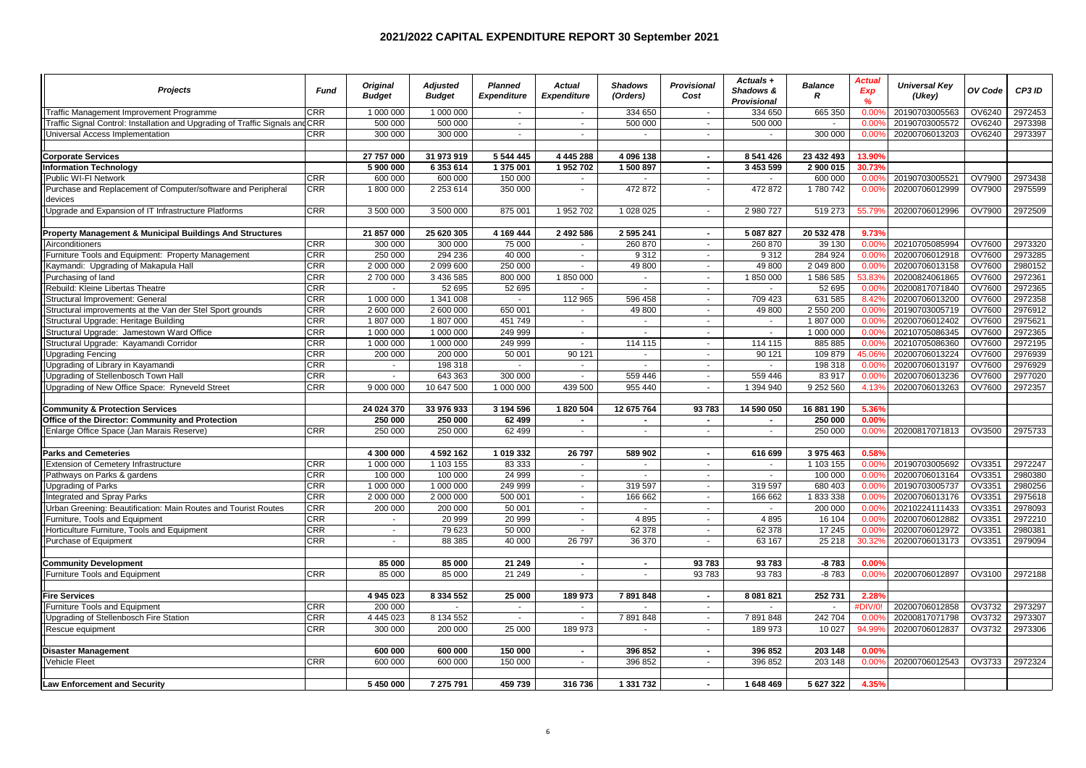| <b>Projects</b>                                                               | <b>Fund</b> | <b>Original</b><br><b>Budget</b> | <b>Adjusted</b><br><b>Budget</b> | <b>Planned</b><br><b>Expenditure</b> | Actual<br><b>Expenditure</b> | <b>Shadows</b><br>(Orders) | <b>Provisional</b><br>Cost  | Actuals +<br>Shadows &<br>Provisional | <b>Balance</b><br>R  | Actual<br><b>Exp</b><br>$\frac{9}{6}$ | <b>Universal Key</b><br>(Ukey) | OV Code | CP3 ID  |
|-------------------------------------------------------------------------------|-------------|----------------------------------|----------------------------------|--------------------------------------|------------------------------|----------------------------|-----------------------------|---------------------------------------|----------------------|---------------------------------------|--------------------------------|---------|---------|
| Traffic Management Improvement Programme                                      | <b>CRR</b>  | 1 000 000                        | 1 000 000                        | $\sim$                               | $\sim$                       | 334 650                    | $\sim$                      | 334 650                               | 665 350              | 0.00                                  | 20190703005563                 | OV6240  | 2972453 |
| Traffic Signal Control: Installation and Upgrading of Traffic Signals and CRR |             | 500 000                          | 500 000                          | $\blacksquare$                       | $\sim$                       | 500 000                    | $\sim$                      | 500 000                               |                      | $0.00^{\circ}$                        | 20190703005572                 | OV6240  | 2973398 |
| Universal Access Implementation                                               | <b>CRR</b>  | 300 000                          | 300 000                          | $\mathcal{L}_{\mathcal{A}}$          | $\sim$                       | $\sim$                     | $\mathcal{L}_{\mathcal{A}}$ | $\mathbf{r}$                          | 300 000              | 0.009                                 | 20200706013203                 | OV6240  | 2973397 |
|                                                                               |             |                                  |                                  |                                      |                              |                            |                             |                                       |                      |                                       |                                |         |         |
| <b>Corporate Services</b>                                                     |             | 27 757 000                       | 31 973 919                       | 5 544 445                            | 4 4 4 5 2 8 8                | 4 096 138                  | $\sim$                      | 8 541 426                             | 23 432 493           | 13.90%                                |                                |         |         |
| <b>Information Technology</b>                                                 |             | 5 900 000                        | 6 353 614                        | 1 375 001                            | 1952702                      | 1500897                    | $\sim$                      | 3 453 599                             | 2 900 015            | 30.73%                                |                                |         |         |
| Public WI-FI Network                                                          | <b>CRR</b>  | 600 000                          | 600 000                          | 150 000                              | $\sim$                       | $\sim$                     | $\sim$                      | $\sim$                                | 600 000              | 0.009                                 | 20190703005521                 | OV7900  | 2973438 |
| Purchase and Replacement of Computer/software and Peripheral<br>devices       | <b>CRR</b>  | 1800000                          | 2 2 5 3 6 1 4                    | 350 000                              | $\sim$                       | 472 872                    | $\blacksquare$              | 472872                                | 1780742              | 0.00%                                 | 20200706012999                 | OV7900  | 2975599 |
| Upgrade and Expansion of IT Infrastructure Platforms                          | <b>CRR</b>  | 3 500 000                        | 3 500 000                        | 875 001                              | 1 952 702                    | 1 028 025                  | $\sim$                      | 2 980 727                             | 519 273              | 55.799                                | 20200706012996                 | OV7900  | 2972509 |
| Property Management & Municipal Buildings And Structures                      |             | 21 857 000                       | 25 620 305                       | 4 169 444                            | 2 492 586                    | 2 595 241                  | $\sim$                      | 5 087 827                             | 20 532 478           | 9.73%                                 |                                |         |         |
| Airconditioners                                                               | <b>CRR</b>  | 300 000                          | 300 000                          | 75 000                               | $\sim$                       | 260 870                    | $\sim$                      | 260 870                               | 39 130               | 0.009                                 | 20210705085994                 | OV7600  | 2973320 |
| Furniture Tools and Equipment: Property Management                            | CRR         | 250 000                          | 294 236                          | 40 000                               | $\sim$                       | 9312                       | $\blacksquare$              | 9312                                  | 284 924              | 0.009                                 | 20200706012918                 | OV7600  | 2973285 |
| Kaymandi: Upgrading of Makapula Hall                                          | CRR         | 2 000 000                        | 2 099 600                        | 250 000                              | $\sim$                       | 49 800                     | $\sim$                      | 49 800                                | 2 049 800            | 0.009                                 | 20200706013158                 | OV7600  | 2980152 |
| Purchasing of land                                                            | CRR         | 2 700 000                        | 3 436 585                        | 800 000                              | 1850000                      | $\sim$                     | $\sim$                      | 1850000                               | 1586585              | 53.839                                | 20200824061865                 | OV7600  | 2972361 |
| Rebuild: Kleine Libertas Theatre                                              | CRR         |                                  | 52 695                           | 52 695                               |                              |                            | $\blacksquare$              |                                       | 52 695               | 0.009                                 | 20200817071840                 | OV7600  | 2972365 |
| Structural Improvement: General                                               | CRR         | 1 000 000                        | 1 341 008                        | $\sim$                               | 112 965                      | 596 458                    | $\mathbf{r}$                | 709 423                               | 631 585              | 8.429                                 | 20200706013200                 | OV7600  | 2972358 |
| Structural improvements at the Van der Stel Sport grounds                     | CRR         | 2 600 000                        | 2 600 000                        | 650 001                              | $\sim$                       | 49 800                     | $\sim$                      | 49 800                                | 2 550 200            | 0.009                                 | 20190703005719                 | OV7600  | 2976912 |
| Structural Upgrade: Heritage Building                                         | CRR         | 1807000                          | 1807000                          | 451 749                              | $\sim$                       | $\overline{\phantom{a}}$   | $\overline{\phantom{a}}$    |                                       | 1807000              | 0.009                                 | 20200706012402                 | OV7600  | 2975621 |
| Structural Upgrade: Jamestown Ward Office                                     | CRR         | 1 000 000                        | 1 000 000                        | 249 999                              | $\sim$                       | $\sim$                     | $\sim$                      | $\sim$                                | 1 000 000            | $0.00^{\circ}$                        | 20210705086345                 | OV7600  | 2972365 |
| Structural Upgrade: Kayamandi Corridor                                        | <b>CRR</b>  | 1 000 000                        | 1 000 000                        | 249 999                              | $\sim$                       | 114 115                    | $\sim$                      | 114 115                               | 885 885              | 0.009                                 | 20210705086360                 | OV7600  | 2972195 |
| <b>Upgrading Fencing</b>                                                      | CRR         | 200 000                          | 200 000                          | 50 001                               | 90 121                       |                            | $\overline{\phantom{a}}$    | 90 121                                | 109 879              | 45.06                                 | 20200706013224                 | OV7600  | 2976939 |
| Upgrading of Library in Kayamandi                                             | <b>CRR</b>  | $\sim$                           | 198 318                          | $\sim$                               | $\sim$                       | $\sim$                     | $\sim$                      | $\sim$                                | 198 318              | 0.009                                 | 20200706013197                 | OV7600  | 2976929 |
| Upgrading of Stellenbosch Town Hall                                           | <b>CRR</b>  | $\mathcal{L}$                    | 643 363                          | 300 000                              | $\sim$                       | 559 446                    | $\sim$                      | 559 446                               | 83 917               | 0.009                                 | 20200706013236                 | OV7600  | 2977020 |
| Upgrading of New Office Space: Ryneveld Street                                | CRR         | 9 000 000                        | 10 647 500                       | 1 000 000                            | 439 500                      | 955 440                    | $\sim$                      | 1 394 940                             | 9 252 560            | 4.139                                 | 20200706013263                 | OV7600  | 2972357 |
| <b>Community &amp; Protection Services</b>                                    |             | 24 024 370                       | 33 976 933                       | 3 194 596                            | 1820 504                     | 12 675 764                 | 93783                       | 14 590 050                            | 16 881 190           | 5.36%                                 |                                |         |         |
| Office of the Director: Community and Protection                              |             | 250 000                          | 250 000                          | 62 499                               | $\sim$                       | $\sim$                     | $\sim$                      |                                       | 250 000              | 0.00%                                 |                                |         |         |
| Enlarge Office Space (Jan Marais Reserve)                                     | <b>CRR</b>  | 250 000                          | 250 000                          | 62 499                               | $\sim$                       | $\sim$                     | $\mathbf{r}$                | $\sim$                                | 250 000              | 0.009                                 | 20200817071813                 | OV3500  | 2975733 |
|                                                                               |             |                                  |                                  |                                      |                              |                            |                             |                                       |                      |                                       |                                |         |         |
| <b>Parks and Cemeteries</b>                                                   |             | 4 300 000                        | 4 592 162                        | 1 019 332                            | 26 797                       | 589 902                    | $\sim$                      | 616 699                               | 3 975 463            | 0.58%                                 |                                |         |         |
| Extension of Cemetery Infrastructure                                          | <b>CRR</b>  | 1 000 000                        | 1 103 155                        | 83 333                               | $\sim$                       | $\sim$                     | $\sim$                      | $\sim$                                | 1 103 155            | 0.009                                 | 20190703005692                 | OV3351  | 2972247 |
| Pathways on Parks & gardens                                                   | <b>CRR</b>  | 100 000                          | 100 000                          | 24 999                               | $\sim$                       | $\sim$                     | $\sim$                      | $\sim$                                | 100 000              | 0.009                                 | 20200706013164                 | OV3351  | 2980380 |
| Upgrading of Parks                                                            | CRR         | 1 000 000                        | 1 000 000                        | 249 999                              | $\sim$                       | 319 597                    | $\overline{\phantom{a}}$    | 319 597                               | 680 403              | 0.009                                 | 20190703005737                 | OV3351  | 2980256 |
| Integrated and Spray Parks                                                    | <b>CRR</b>  | 2 000 000                        | 2 000 000                        | 500 001                              | $\sim$                       | 166 662                    | $\sim$                      | 166 662                               | 1833338              | 0.009                                 | 20200706013176                 | OV3351  | 2975618 |
| Urban Greening: Beautification: Main Routes and Tourist Routes                | <b>CRR</b>  | 200 000                          | 200 000                          | 50 001                               | $\sim$                       | $\sim$                     | $\sim$                      | $\sim$                                | 200 000              | 0.009                                 | 20210224111433                 | OV3351  | 2978093 |
| Furniture, Tools and Equipment                                                | CRR         | $\blacksquare$                   | 20 999                           | 20 999                               | $\sim$                       | 4895                       | $\blacksquare$              | 4895                                  | 16 104               | 0.009                                 | 20200706012882                 | OV3351  | 2972210 |
| Horticulture Furniture, Tools and Equipment                                   | CRR         | $\sim$                           | 79 623                           | 50 000                               | $\sim$                       | 62 378                     | $\sim$                      | 62 378                                | 17 245               | 0.009                                 | 20200706012972                 | OV3351  | 2980381 |
| Purchase of Equipment                                                         | <b>CRR</b>  | $\sim$                           | 88 385                           | 40 000                               | 26 797                       | 36 370                     | $\sim$                      | 63 167                                | 25 218               | 30.329                                | 20200706013173                 | OV3351  | 2979094 |
|                                                                               |             |                                  |                                  |                                      |                              |                            |                             |                                       |                      |                                       |                                |         |         |
| <b>Community Development</b>                                                  |             | 85 000                           | 85 000                           | 21 249                               | $\sim$                       | $\sim$                     | 93783                       | 93783                                 | $-8783$              | 0.00%                                 |                                |         |         |
| Furniture Tools and Equipment                                                 | CRR         | 85 000                           | 85 000                           | 21 249                               | $\sim$                       | $\sim$                     | 93783                       | 93783                                 | $-8783$              | 0.009                                 | 20200706012897                 | OV3100  | 2972188 |
| <b>Fire Services</b>                                                          |             | 4 945 023                        | 8 334 552                        | 25 000                               | 189 973                      | 7891848                    | $\sim$                      | 8 081 821                             | 252731               | 2.28%                                 |                                |         |         |
| Furniture Tools and Equipment                                                 | <b>CRR</b>  | 200 000                          |                                  | $\mathbf{r}$                         | $\sim$                       | $\sim$                     | $\sim$                      |                                       | $\ddot{\phantom{a}}$ | <b>DIV/0</b>                          | 20200706012858                 | OV3732  | 2973297 |
| Upgrading of Stellenbosch Fire Station                                        | CRR         | 4 4 4 5 0 2 3                    | 8 134 552                        | $\overline{a}$                       | $\sim$                       | 7891848                    | $\mathbf{r}$                | 7891848                               | 242 704              | $0.00^{\circ}$                        | 20200817071798                 | OV3732  | 2973307 |
| Rescue equipment                                                              | <b>CRR</b>  | 300 000                          | 200 000                          | 25 000                               | 189 973                      | $\sim$                     | $\blacksquare$              | 189 973                               | 10 027               | 94.999                                | 20200706012837                 | OV3732  | 2973306 |
|                                                                               |             |                                  |                                  |                                      |                              |                            |                             |                                       |                      |                                       |                                |         |         |
| <b>Disaster Management</b>                                                    |             | 600 000                          | 600 000                          | 150 000                              | $\sim$                       | 396 852                    | $\sim$                      | 396 852                               | 203 148              | 0.00%                                 |                                |         |         |
| <b>Vehicle Fleet</b>                                                          | <b>CRR</b>  | 600 000                          | 600 000                          | 150 000                              | $\sim$                       | 396 852                    | $\sim$                      | 396 852                               | 203 148              | 0.00%                                 | 20200706012543                 | OV3733  | 2972324 |
| <b>Law Enforcement and Security</b>                                           |             | 5 450 000                        | 7 275 791                        | 459 739                              | 316 736                      | 1 331 732                  | $\sim$                      | 1 648 469                             | 5 627 322            | 4.35%                                 |                                |         |         |
|                                                                               |             |                                  |                                  |                                      |                              |                            |                             |                                       |                      |                                       |                                |         |         |